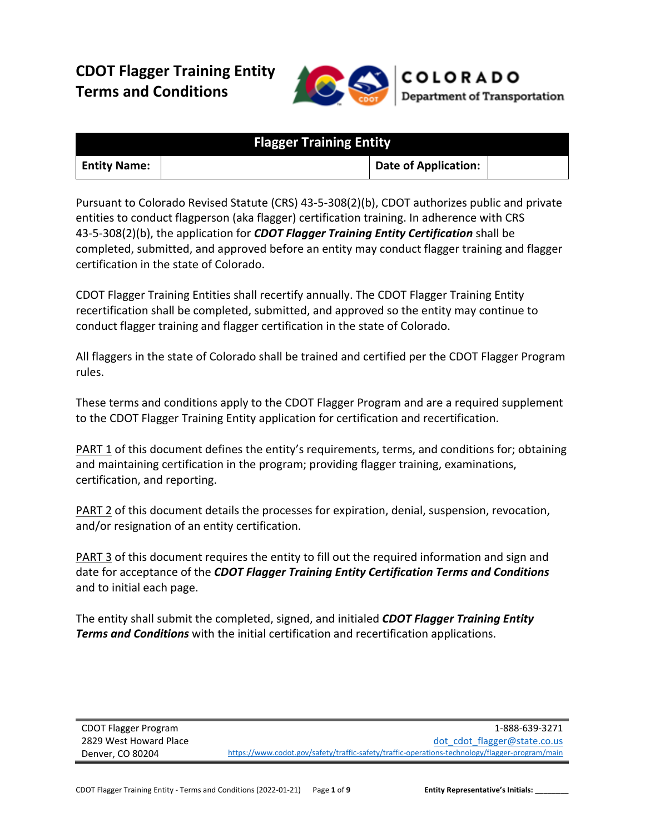# **CDOT Flagger Training Entity Terms and Conditions**



| <b>Flagger Training Entity</b> |  |                             |  |
|--------------------------------|--|-----------------------------|--|
| <b>Entity Name:</b>            |  | <b>Date of Application:</b> |  |

Pursuant to Colorado Revised Statute (CRS) 43-5-308(2)(b), CDOT authorizes public and private entities to conduct flagperson (aka flagger) certification training. In adherence with CRS 43-5-308(2)(b), the application for *CDOT Flagger Training Entity Certification* shall be completed, submitted, and approved before an entity may conduct flagger training and flagger certification in the state of Colorado.

CDOT Flagger Training Entities shall recertify annually. The CDOT Flagger Training Entity recertification shall be completed, submitted, and approved so the entity may continue to conduct flagger training and flagger certification in the state of Colorado.

All flaggers in the state of Colorado shall be trained and certified per the CDOT Flagger Program rules.

These terms and conditions apply to the CDOT Flagger Program and are a required supplement to the CDOT Flagger Training Entity application for certification and recertification.

PART 1 of this document defines the entity's requirements, terms, and conditions for; obtaining and maintaining certification in the program; providing flagger training, examinations, certification, and reporting.

PART 2 of this document details the processes for expiration, denial, suspension, revocation, and/or resignation of an entity certification.

PART 3 of this document requires the entity to fill out the required information and sign and date for acceptance of the *CDOT Flagger Training Entity Certification Terms and Conditions* and to initial each page.

The entity shall submit the completed, signed, and initialed *CDOT Flagger Training Entity Terms and Conditions* with the initial certification and recertification applications.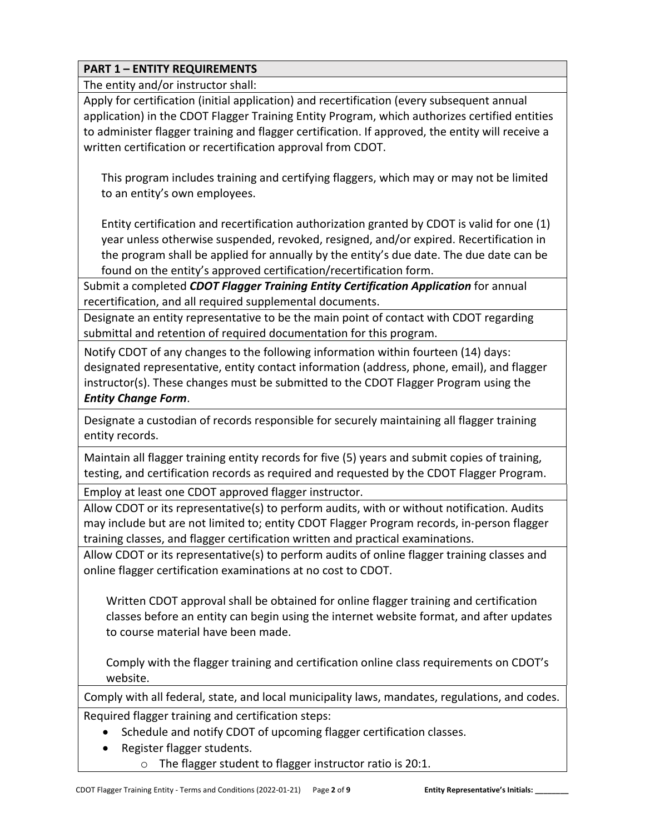The entity and/or instructor shall:

Apply for certification (initial application) and recertification (every subsequent annual application) in the CDOT Flagger Training Entity Program, which authorizes certified entities to administer flagger training and flagger certification. If approved, the entity will receive a written certification or recertification approval from CDOT.

This program includes training and certifying flaggers, which may or may not be limited to an entity's own employees.

Entity certification and recertification authorization granted by CDOT is valid for one (1) year unless otherwise suspended, revoked, resigned, and/or expired. Recertification in the program shall be applied for annually by the entity's due date. The due date can be found on the entity's approved certification/recertification form.

Submit a completed *CDOT Flagger Training Entity Certification Application* for annual recertification, and all required supplemental documents.

Designate an entity representative to be the main point of contact with CDOT regarding submittal and retention of required documentation for this program.

Notify CDOT of any changes to the following information within fourteen (14) days: designated representative, entity contact information (address, phone, email), and flagger instructor(s). These changes must be submitted to the CDOT Flagger Program using the *Entity Change Form*.

Designate a custodian of records responsible for securely maintaining all flagger training entity records.

Maintain all flagger training entity records for five (5) years and submit copies of training, testing, and certification records as required and requested by the CDOT Flagger Program.

Employ at least one CDOT approved flagger instructor.

Allow CDOT or its representative(s) to perform audits, with or without notification. Audits may include but are not limited to; entity CDOT Flagger Program records, in-person flagger training classes, and flagger certification written and practical examinations.

Allow CDOT or its representative(s) to perform audits of online flagger training classes and online flagger certification examinations at no cost to CDOT.

Written CDOT approval shall be obtained for online flagger training and certification classes before an entity can begin using the internet website format, and after updates to course material have been made.

Comply with the flagger training and certification online class requirements on CDOT's website.

Comply with all federal, state, and local municipality laws, mandates, regulations, and codes. Required flagger training and certification steps:

- Schedule and notify CDOT of upcoming flagger certification classes.
- Register flagger students.
	- o The flagger student to flagger instructor ratio is 20:1.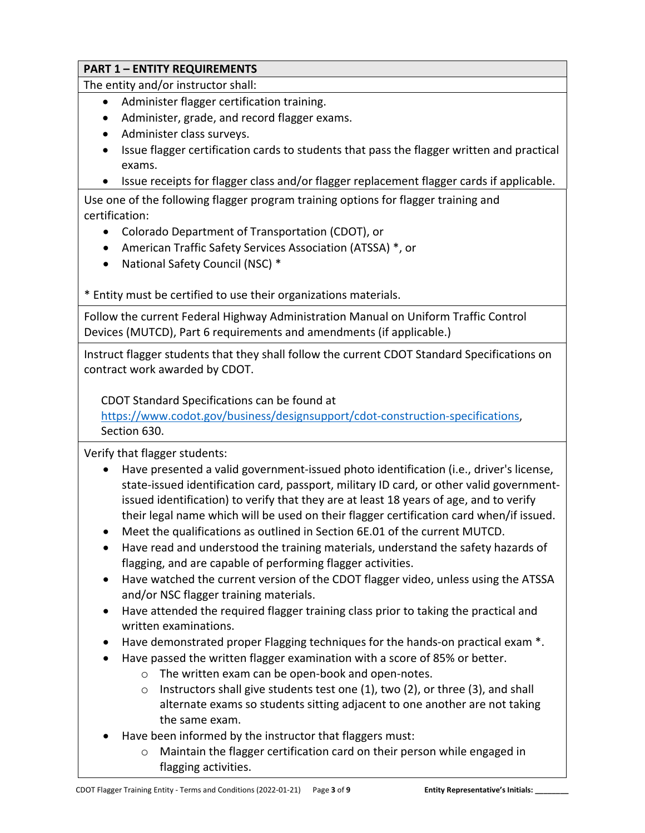The entity and/or instructor shall:

- Administer flagger certification training.
- Administer, grade, and record flagger exams.
- Administer class surveys.
- Issue flagger certification cards to students that pass the flagger written and practical exams.
- Issue receipts for flagger class and/or flagger replacement flagger cards if applicable.

Use one of the following flagger program training options for flagger training and certification:

- Colorado Department of Transportation (CDOT), or
- American Traffic Safety Services Association (ATSSA) \*, or
- National Safety Council (NSC) \*

\* Entity must be certified to use their organizations materials.

Follow the current Federal Highway Administration Manual on Uniform Traffic Control Devices (MUTCD), Part 6 requirements and amendments (if applicable.)

Instruct flagger students that they shall follow the current CDOT Standard Specifications on contract work awarded by CDOT.

CDOT Standard Specifications can be found at

[https://www.codot.gov/business/designsupport/cdot-construction-specifications,](https://www.codot.gov/business/designsupport/cdot-construction-specifications) Section 630.

Verify that flagger students:

- Have presented a valid government-issued photo identification (i.e., driver's license, state-issued identification card, passport, military ID card, or other valid governmentissued identification) to verify that they are at least 18 years of age, and to verify their legal name which will be used on their flagger certification card when/if issued.
- Meet the qualifications as outlined in Section 6E.01 of the current MUTCD.
- Have read and understood the training materials, understand the safety hazards of flagging, and are capable of performing flagger activities.
- Have watched the current version of the CDOT flagger video, unless using the ATSSA and/or NSC flagger training materials.
- Have attended the required flagger training class prior to taking the practical and written examinations.
- Have demonstrated proper Flagging techniques for the hands-on practical exam \*.
- Have passed the written flagger examination with a score of 85% or better.
	- o The written exam can be open-book and open-notes.
	- $\circ$  Instructors shall give students test one (1), two (2), or three (3), and shall alternate exams so students sitting adjacent to one another are not taking the same exam.
- Have been informed by the instructor that flaggers must:
	- o Maintain the flagger certification card on their person while engaged in flagging activities.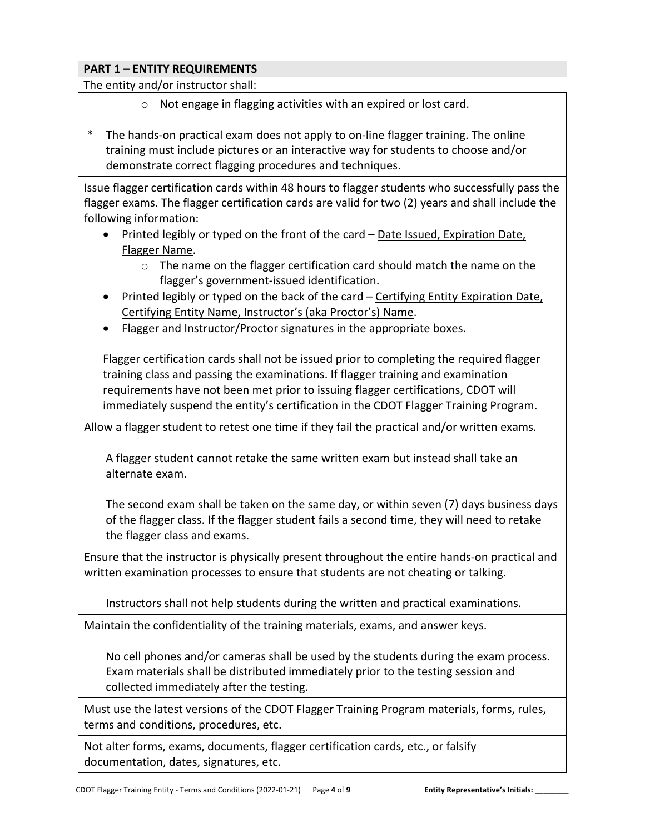The entity and/or instructor shall:

- o Not engage in flagging activities with an expired or lost card.
- The hands-on practical exam does not apply to on-line flagger training. The online training must include pictures or an interactive way for students to choose and/or demonstrate correct flagging procedures and techniques.

Issue flagger certification cards within 48 hours to flagger students who successfully pass the flagger exams. The flagger certification cards are valid for two (2) years and shall include the following information:

- Printed legibly or typed on the front of the card Date Issued, Expiration Date, Flagger Name.
	- o The name on the flagger certification card should match the name on the flagger's government-issued identification.
- Printed legibly or typed on the back of the card Certifying Entity Expiration Date, Certifying Entity Name, Instructor's (aka Proctor's) Name.
- Flagger and Instructor/Proctor signatures in the appropriate boxes.

Flagger certification cards shall not be issued prior to completing the required flagger training class and passing the examinations. If flagger training and examination requirements have not been met prior to issuing flagger certifications, CDOT will immediately suspend the entity's certification in the CDOT Flagger Training Program.

Allow a flagger student to retest one time if they fail the practical and/or written exams.

A flagger student cannot retake the same written exam but instead shall take an alternate exam.

The second exam shall be taken on the same day, or within seven (7) days business days of the flagger class. If the flagger student fails a second time, they will need to retake the flagger class and exams.

Ensure that the instructor is physically present throughout the entire hands-on practical and written examination processes to ensure that students are not cheating or talking.

Instructors shall not help students during the written and practical examinations.

Maintain the confidentiality of the training materials, exams, and answer keys.

No cell phones and/or cameras shall be used by the students during the exam process. Exam materials shall be distributed immediately prior to the testing session and collected immediately after the testing.

Must use the latest versions of the CDOT Flagger Training Program materials, forms, rules, terms and conditions, procedures, etc.

Not alter forms, exams, documents, flagger certification cards, etc., or falsify documentation, dates, signatures, etc.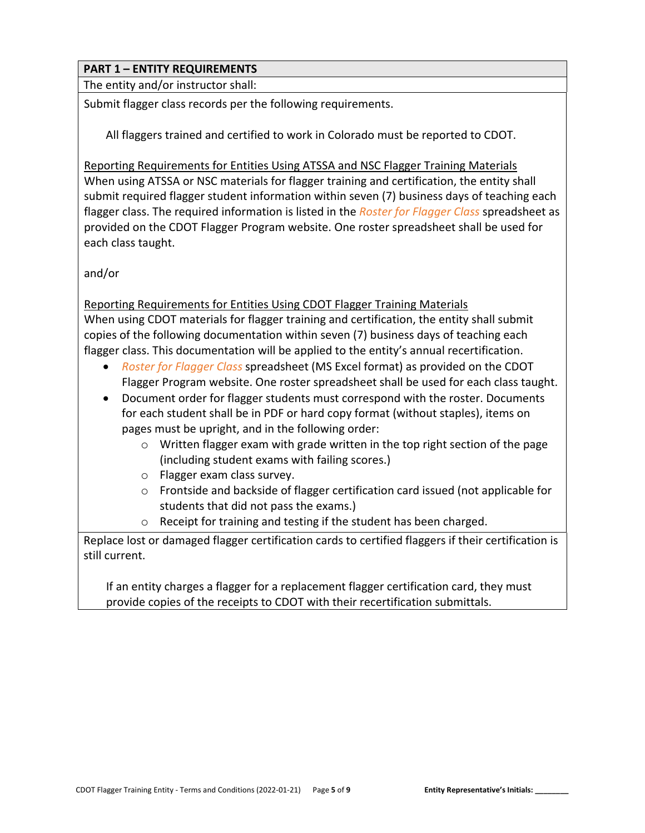The entity and/or instructor shall:

Submit flagger class records per the following requirements.

All flaggers trained and certified to work in Colorado must be reported to CDOT.

Reporting Requirements for Entities Using ATSSA and NSC Flagger Training Materials When using ATSSA or NSC materials for flagger training and certification, the entity shall submit required flagger student information within seven (7) business days of teaching each flagger class. The required information is listed in the *Roster for Flagger Class* spreadsheet as provided on the CDOT Flagger Program website. One roster spreadsheet shall be used for each class taught.

and/or

#### Reporting Requirements for Entities Using CDOT Flagger Training Materials

When using CDOT materials for flagger training and certification, the entity shall submit copies of the following documentation within seven (7) business days of teaching each flagger class. This documentation will be applied to the entity's annual recertification.

- *Roster for Flagger Class* spreadsheet (MS Excel format) as provided on the CDOT Flagger Program website. One roster spreadsheet shall be used for each class taught.
- Document order for flagger students must correspond with the roster. Documents for each student shall be in PDF or hard copy format (without staples), items on pages must be upright, and in the following order:
	- $\circ$  Written flagger exam with grade written in the top right section of the page (including student exams with failing scores.)
	- o Flagger exam class survey.
	- o Frontside and backside of flagger certification card issued (not applicable for students that did not pass the exams.)
	- o Receipt for training and testing if the student has been charged.

Replace lost or damaged flagger certification cards to certified flaggers if their certification is still current.

If an entity charges a flagger for a replacement flagger certification card, they must provide copies of the receipts to CDOT with their recertification submittals.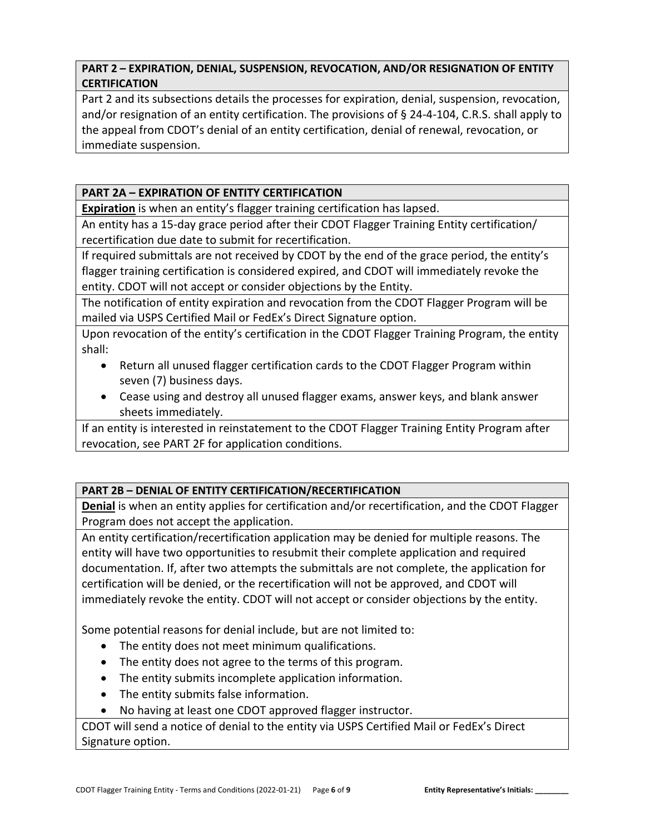## **PART 2 – EXPIRATION, DENIAL, SUSPENSION, REVOCATION, AND/OR RESIGNATION OF ENTITY CERTIFICATION**

Part 2 and its subsections details the processes for expiration, denial, suspension, revocation, and/or resignation of an entity certification. The provisions of § 24-4-104, C.R.S. shall apply to the appeal from CDOT's denial of an entity certification, denial of renewal, revocation, or immediate suspension.

## **PART 2A – EXPIRATION OF ENTITY CERTIFICATION**

**Expiration** is when an entity's flagger training certification has lapsed.

An entity has a 15-day grace period after their CDOT Flagger Training Entity certification/ recertification due date to submit for recertification.

If required submittals are not received by CDOT by the end of the grace period, the entity's flagger training certification is considered expired, and CDOT will immediately revoke the entity. CDOT will not accept or consider objections by the Entity.

The notification of entity expiration and revocation from the CDOT Flagger Program will be mailed via USPS Certified Mail or FedEx's Direct Signature option.

Upon revocation of the entity's certification in the CDOT Flagger Training Program, the entity shall:

- Return all unused flagger certification cards to the CDOT Flagger Program within seven (7) business days.
- Cease using and destroy all unused flagger exams, answer keys, and blank answer sheets immediately.

If an entity is interested in reinstatement to the CDOT Flagger Training Entity Program after revocation, see PART 2F for application conditions.

## **PART 2B – DENIAL OF ENTITY CERTIFICATION/RECERTIFICATION**

**Denial** is when an entity applies for certification and/or recertification, and the CDOT Flagger Program does not accept the application.

An entity certification/recertification application may be denied for multiple reasons. The entity will have two opportunities to resubmit their complete application and required documentation. If, after two attempts the submittals are not complete, the application for certification will be denied, or the recertification will not be approved, and CDOT will immediately revoke the entity. CDOT will not accept or consider objections by the entity.

Some potential reasons for denial include, but are not limited to:

- The entity does not meet minimum qualifications.
- The entity does not agree to the terms of this program.
- The entity submits incomplete application information.
- The entity submits false information.
- No having at least one CDOT approved flagger instructor.

CDOT will send a notice of denial to the entity via USPS Certified Mail or FedEx's Direct Signature option.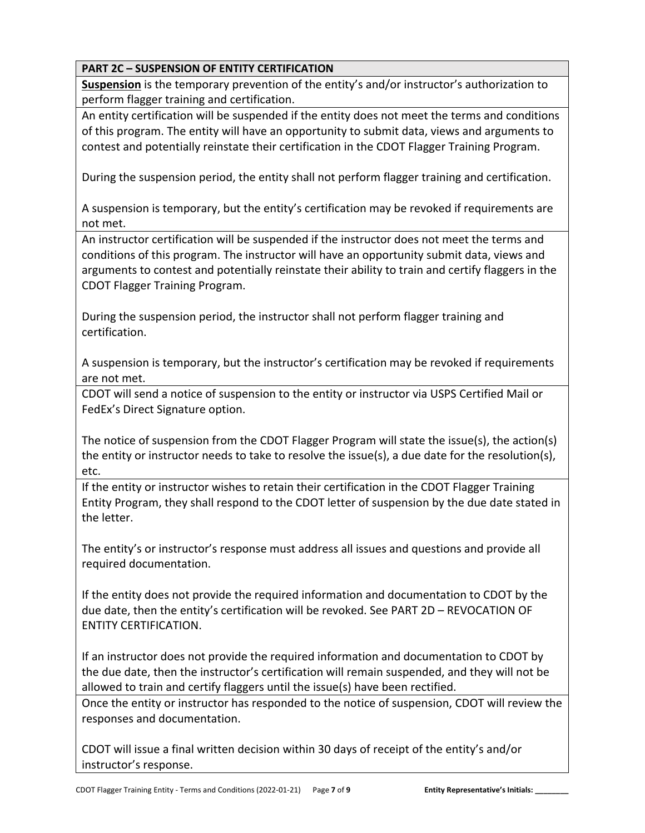## **PART 2C – SUSPENSION OF ENTITY CERTIFICATION**

**Suspension** is the temporary prevention of the entity's and/or instructor's authorization to perform flagger training and certification.

An entity certification will be suspended if the entity does not meet the terms and conditions of this program. The entity will have an opportunity to submit data, views and arguments to contest and potentially reinstate their certification in the CDOT Flagger Training Program.

During the suspension period, the entity shall not perform flagger training and certification.

A suspension is temporary, but the entity's certification may be revoked if requirements are not met.

An instructor certification will be suspended if the instructor does not meet the terms and conditions of this program. The instructor will have an opportunity submit data, views and arguments to contest and potentially reinstate their ability to train and certify flaggers in the CDOT Flagger Training Program.

During the suspension period, the instructor shall not perform flagger training and certification.

A suspension is temporary, but the instructor's certification may be revoked if requirements are not met.

CDOT will send a notice of suspension to the entity or instructor via USPS Certified Mail or FedEx's Direct Signature option.

The notice of suspension from the CDOT Flagger Program will state the issue(s), the action(s) the entity or instructor needs to take to resolve the issue(s), a due date for the resolution(s), etc.

If the entity or instructor wishes to retain their certification in the CDOT Flagger Training Entity Program, they shall respond to the CDOT letter of suspension by the due date stated in the letter.

The entity's or instructor's response must address all issues and questions and provide all required documentation.

If the entity does not provide the required information and documentation to CDOT by the due date, then the entity's certification will be revoked. See PART 2D – REVOCATION OF ENTITY CERTIFICATION.

If an instructor does not provide the required information and documentation to CDOT by the due date, then the instructor's certification will remain suspended, and they will not be allowed to train and certify flaggers until the issue(s) have been rectified.

Once the entity or instructor has responded to the notice of suspension, CDOT will review the responses and documentation.

CDOT will issue a final written decision within 30 days of receipt of the entity's and/or instructor's response.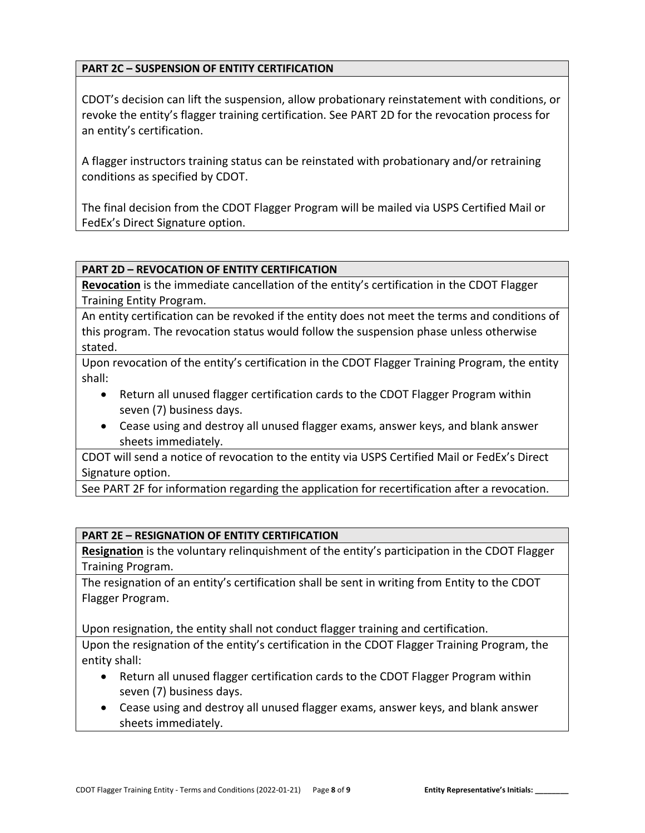#### **PART 2C – SUSPENSION OF ENTITY CERTIFICATION**

CDOT's decision can lift the suspension, allow probationary reinstatement with conditions, or revoke the entity's flagger training certification. See PART 2D for the revocation process for an entity's certification.

A flagger instructors training status can be reinstated with probationary and/or retraining conditions as specified by CDOT.

The final decision from the CDOT Flagger Program will be mailed via USPS Certified Mail or FedEx's Direct Signature option.

#### **PART 2D – REVOCATION OF ENTITY CERTIFICATION**

**Revocation** is the immediate cancellation of the entity's certification in the CDOT Flagger Training Entity Program.

An entity certification can be revoked if the entity does not meet the terms and conditions of this program. The revocation status would follow the suspension phase unless otherwise stated.

Upon revocation of the entity's certification in the CDOT Flagger Training Program, the entity shall:

- Return all unused flagger certification cards to the CDOT Flagger Program within seven (7) business days.
- Cease using and destroy all unused flagger exams, answer keys, and blank answer sheets immediately.

CDOT will send a notice of revocation to the entity via USPS Certified Mail or FedEx's Direct Signature option.

See PART 2F for information regarding the application for recertification after a revocation.

## **PART 2E – RESIGNATION OF ENTITY CERTIFICATION**

**Resignation** is the voluntary relinquishment of the entity's participation in the CDOT Flagger Training Program.

The resignation of an entity's certification shall be sent in writing from Entity to the CDOT Flagger Program.

Upon resignation, the entity shall not conduct flagger training and certification.

Upon the resignation of the entity's certification in the CDOT Flagger Training Program, the entity shall:

- Return all unused flagger certification cards to the CDOT Flagger Program within seven (7) business days.
- Cease using and destroy all unused flagger exams, answer keys, and blank answer sheets immediately.